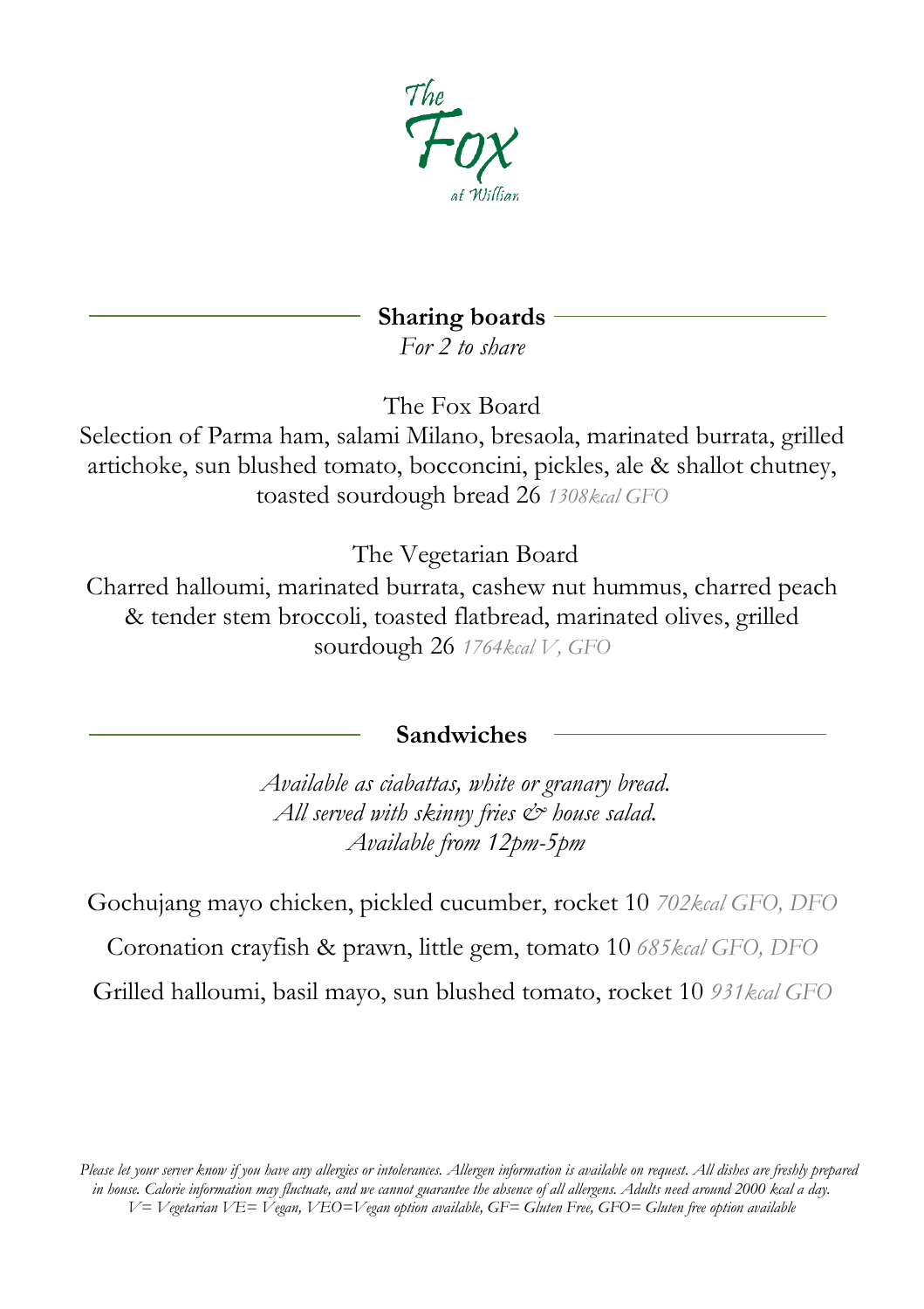

# **Sharing boards**

*For 2 to share* 

The Fox Board

Selection of Parma ham, salami Milano, bresaola, marinated burrata, grilled artichoke, sun blushed tomato, bocconcini, pickles, ale & shallot chutney, toasted sourdough bread 26 *1308kcal GFO*

The Vegetarian Board

Charred halloumi, marinated burrata, cashew nut hummus, charred peach & tender stem broccoli, toasted flatbread, marinated olives, grilled sourdough 26 *1764kcal V, GFO*

## **Sandwiches**

*Available as ciabattas, white or granary bread. All served with skinny fries & house salad. Available from 12pm-5pm*

Gochujang mayo chicken, pickled cucumber, rocket 10 *702kcal GFO, DFO*

Coronation crayfish & prawn, little gem, tomato 10 *685kcal GFO, DFO*

Grilled halloumi, basil mayo, sun blushed tomato, rocket 10 *931kcal GFO*

*Please let your server know if you have any allergies or intolerances. Allergen information is available on request. All dishes are freshly prepared in house. Calorie information may fluctuate, and we cannot guarantee the absence of all allergens. Adults need around 2000 kcal a day. V= Vegetarian VE= Vegan, VEO=Vegan option available, GF= Gluten Free, GFO= Gluten free option available*